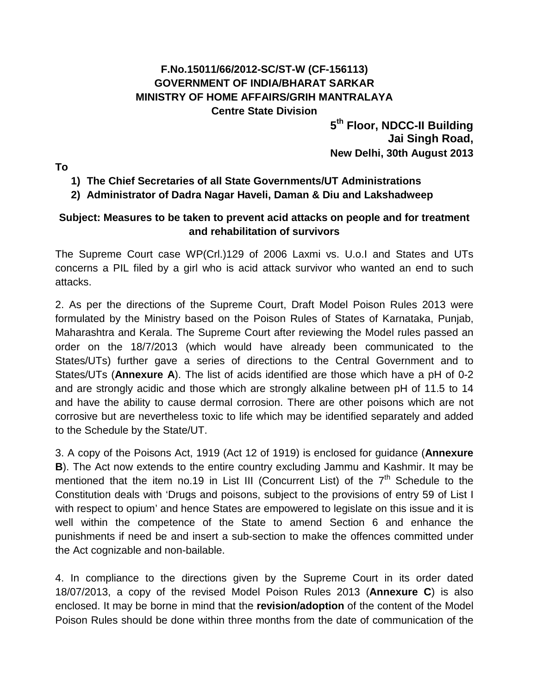## **F.No.15011/66/2012-SC/ST-W (CF-156113) GOVERNMENT OF INDIA/BHARAT SARKAR MINISTRY OF HOME AFFAIRS/GRIH MANTRALAYA Centre State Division**

**5th Floor, NDCC-II Building Jai Singh Road, New Delhi, 30th August 2013**

**To**

## **1) The Chief Secretaries of all State Governments/UT Administrations**

## **2) Administrator of Dadra Nagar Haveli, Daman & Diu and Lakshadweep**

### **Subject: Measures to be taken to prevent acid attacks on people and for treatment and rehabilitation of survivors**

The Supreme Court case WP(Crl.)129 of 2006 Laxmi vs. U.o.I and States and UTs concerns a PIL filed by a girl who is acid attack survivor who wanted an end to such attacks.

2. As per the directions of the Supreme Court, Draft Model Poison Rules 2013 were formulated by the Ministry based on the Poison Rules of States of Karnataka, Punjab, Maharashtra and Kerala. The Supreme Court after reviewing the Model rules passed an order on the 18/7/2013 (which would have already been communicated to the States/UTs) further gave a series of directions to the Central Government and to States/UTs (**Annexure A**). The list of acids identified are those which have a pH of 0-2 and are strongly acidic and those which are strongly alkaline between pH of 11.5 to 14 and have the ability to cause dermal corrosion. There are other poisons which are not corrosive but are nevertheless toxic to life which may be identified separately and added to the Schedule by the State/UT.

3. A copy of the Poisons Act, 1919 (Act 12 of 1919) is enclosed for guidance (**Annexure B**). The Act now extends to the entire country excluding Jammu and Kashmir. It may be mentioned that the item no.19 in List III (Concurrent List) of the  $7<sup>th</sup>$  Schedule to the Constitution deals with 'Drugs and poisons, subject to the provisions of entry 59 of List I with respect to opium' and hence States are empowered to legislate on this issue and it is well within the competence of the State to amend Section 6 and enhance the punishments if need be and insert a sub-section to make the offences committed under the Act cognizable and non-bailable.

4. In compliance to the directions given by the Supreme Court in its order dated 18/07/2013, a copy of the revised Model Poison Rules 2013 (**Annexure C**) is also enclosed. It may be borne in mind that the **revision/adoption** of the content of the Model Poison Rules should be done within three months from the date of communication of the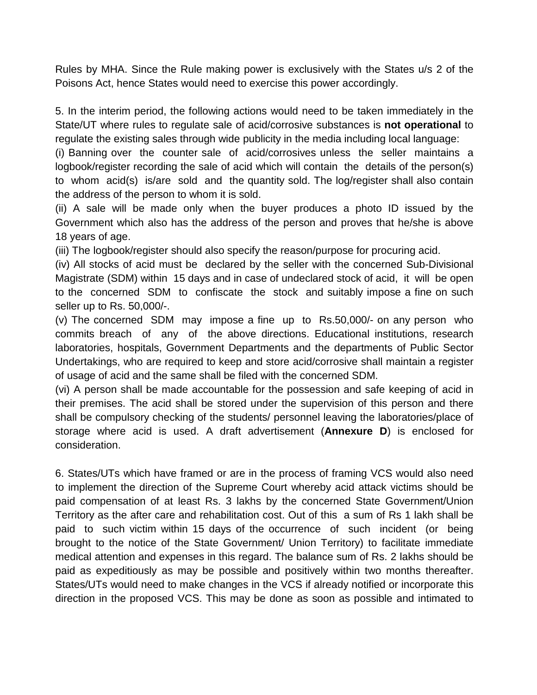Rules by MHA. Since the Rule making power is exclusively with the States u/s 2 of the Poisons Act, hence States would need to exercise this power accordingly.

5. In the interim period, the following actions would need to be taken immediately in the State/UT where rules to regulate sale of acid/corrosive substances is **not operational** to regulate the existing sales through wide publicity in the media including local language:

(i) Banning over the counter sale of acid/corrosives unless the seller maintains a logbook/register recording the sale of acid which will contain the details of the person(s) to whom acid(s) is/are sold and the quantity sold. The log/register shall also contain the address of the person to whom it is sold.

(ii) A sale will be made only when the buyer produces a photo ID issued by the Government which also has the address of the person and proves that he/she is above 18 years of age.

(iii) The logbook/register should also specify the reason/purpose for procuring acid.

(iv) All stocks of acid must be declared by the seller with the concerned Sub-Divisional Magistrate (SDM) within 15 days and in case of undeclared stock of acid, it will be open to the concerned SDM to confiscate the stock and suitably impose a fine on such seller up to Rs. 50,000/-.

(v) The concerned SDM may impose a fine up to Rs.50,000/- on any person who commits breach of any of the above directions. Educational institutions, research laboratories, hospitals, Government Departments and the departments of Public Sector Undertakings, who are required to keep and store acid/corrosive shall maintain a register of usage of acid and the same shall be filed with the concerned SDM.

(vi) A person shall be made accountable for the possession and safe keeping of acid in their premises. The acid shall be stored under the supervision of this person and there shall be compulsory checking of the students/ personnel leaving the laboratories/place of storage where acid is used. A draft advertisement (**Annexure D**) is enclosed for consideration.

6. States/UTs which have framed or are in the process of framing VCS would also need to implement the direction of the Supreme Court whereby acid attack victims should be paid compensation of at least Rs. 3 lakhs by the concerned State Government/Union Territory as the after care and rehabilitation cost. Out of this a sum of Rs 1 lakh shall be paid to such victim within 15 days of the occurrence of such incident (or being brought to the notice of the State Government/ Union Territory) to facilitate immediate medical attention and expenses in this regard. The balance sum of Rs. 2 lakhs should be paid as expeditiously as may be possible and positively within two months thereafter. States/UTs would need to make changes in the VCS if already notified or incorporate this direction in the proposed VCS. This may be done as soon as possible and intimated to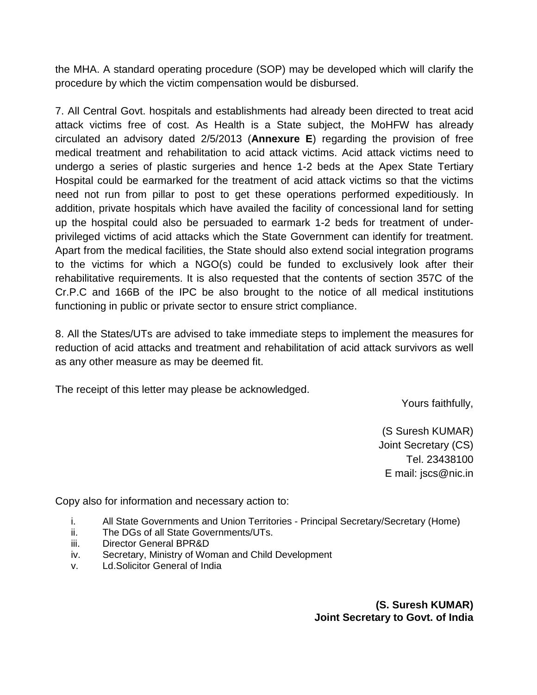the MHA. A standard operating procedure (SOP) may be developed which will clarify the procedure by which the victim compensation would be disbursed.

7. All Central Govt. hospitals and establishments had already been directed to treat acid attack victims free of cost. As Health is a State subject, the MoHFW has already circulated an advisory dated 2/5/2013 (**Annexure E**) regarding the provision of free medical treatment and rehabilitation to acid attack victims. Acid attack victims need to undergo a series of plastic surgeries and hence 1-2 beds at the Apex State Tertiary Hospital could be earmarked for the treatment of acid attack victims so that the victims need not run from pillar to post to get these operations performed expeditiously. In addition, private hospitals which have availed the facility of concessional land for setting up the hospital could also be persuaded to earmark 1-2 beds for treatment of underprivileged victims of acid attacks which the State Government can identify for treatment. Apart from the medical facilities, the State should also extend social integration programs to the victims for which a NGO(s) could be funded to exclusively look after their rehabilitative requirements. It is also requested that the contents of section 357C of the Cr.P.C and 166B of the IPC be also brought to the notice of all medical institutions functioning in public or private sector to ensure strict compliance.

8. All the States/UTs are advised to take immediate steps to implement the measures for reduction of acid attacks and treatment and rehabilitation of acid attack survivors as well as any other measure as may be deemed fit.

The receipt of this letter may please be acknowledged.

Yours faithfully,

(S Suresh KUMAR) Joint Secretary (CS) Tel. 23438100 E mail: jscs@nic.in

Copy also for information and necessary action to:

- i. All State Governments and Union Territories Principal Secretary/Secretary (Home)
- ii. The DGs of all State Governments/UTs.
- iii. Director General BPR&D
- iv. Secretary, Ministry of Woman and Child Development
- v. Ld.Solicitor General of India

**(S. Suresh KUMAR) Joint Secretary to Govt. of India**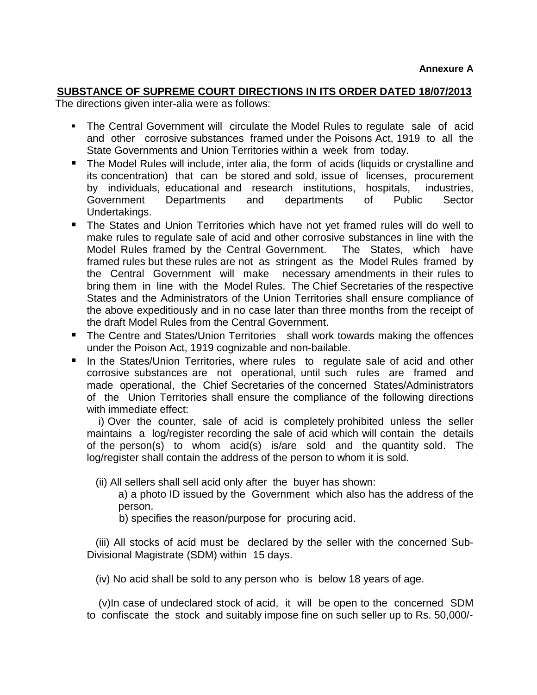#### **SUBSTANCE OF SUPREME COURT DIRECTIONS IN ITS ORDER DATED 18/07/2013**

The directions given inter-alia were as follows:

- The Central Government will circulate the Model Rules to regulate sale of acid and other corrosive substances framed under the Poisons Act, 1919 to all the State Governments and Union Territories within a week from today.
- The Model Rules will include, inter alia, the form of acids (liquids or crystalline and its concentration) that can be stored and sold, issue of licenses, procurement by individuals, educational and research institutions, hospitals, industries, Government Departments and departments of Public Sector Undertakings.
- The States and Union Territories which have not yet framed rules will do well to make rules to regulate sale of acid and other corrosive substances in line with the Model Rules framed by the Central Government. The States, which have framed rules but these rules are not as stringent as the Model Rules framed by the Central Government will make necessary amendments in their rules to bring them in line with the Model Rules. The Chief Secretaries of the respective States and the Administrators of the Union Territories shall ensure compliance of the above expeditiously and in no case later than three months from the receipt of the draft Model Rules from the Central Government.
- The Centre and States/Union Territories shall work towards making the offences under the Poison Act, 1919 cognizable and non-bailable.
- In the States/Union Territories, where rules to regulate sale of acid and other corrosive substances are not operational, until such rules are framed and made operational, the Chief Secretaries of the concerned States/Administrators of the Union Territories shall ensure the compliance of the following directions with immediate effect:

 i) Over the counter, sale of acid is completely prohibited unless the seller maintains a log/register recording the sale of acid which will contain the details of the person(s) to whom acid(s) is/are sold and the quantity sold. The log/register shall contain the address of the person to whom it is sold.

(ii) All sellers shall sell acid only after the buyer has shown:

a) a photo ID issued by the Government which also has the address of the person.

b) specifies the reason/purpose for procuring acid.

 (iii) All stocks of acid must be declared by the seller with the concerned Sub-Divisional Magistrate (SDM) within 15 days.

(iv) No acid shall be sold to any person who is below 18 years of age.

 (v)In case of undeclared stock of acid, it will be open to the concerned SDM to confiscate the stock and suitably impose fine on such seller up to Rs. 50,000/-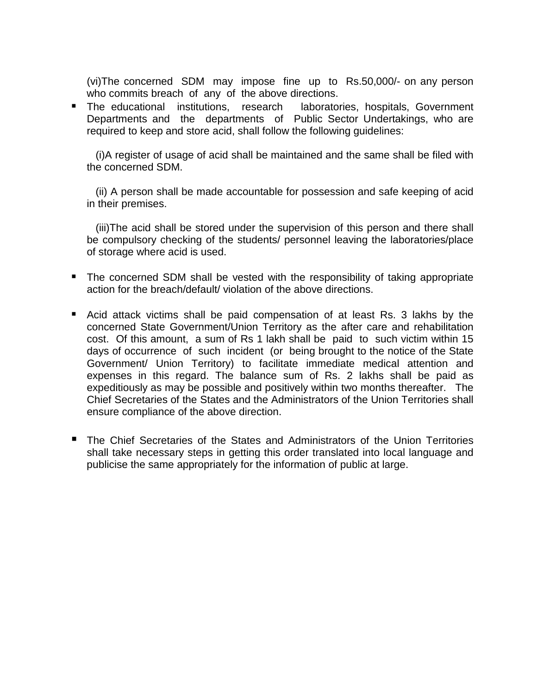(vi)The concerned SDM may impose fine up to Rs.50,000/- on any person who commits breach of any of the above directions.

**The educational institutions, research laboratories, hospitals, Government** Departments and the departments of Public Sector Undertakings, who are required to keep and store acid, shall follow the following guidelines:

 (i)A register of usage of acid shall be maintained and the same shall be filed with the concerned SDM.

 (ii) A person shall be made accountable for possession and safe keeping of acid in their premises.

 (iii)The acid shall be stored under the supervision of this person and there shall be compulsory checking of the students/ personnel leaving the laboratories/place of storage where acid is used.

- The concerned SDM shall be vested with the responsibility of taking appropriate action for the breach/default/ violation of the above directions.
- Acid attack victims shall be paid compensation of at least Rs. 3 lakhs by the concerned State Government/Union Territory as the after care and rehabilitation cost. Of this amount, a sum of Rs 1 lakh shall be paid to such victim within 15 days of occurrence of such incident (or being brought to the notice of the State Government/ Union Territory) to facilitate immediate medical attention and expenses in this regard. The balance sum of Rs. 2 lakhs shall be paid as expeditiously as may be possible and positively within two months thereafter. The Chief Secretaries of the States and the Administrators of the Union Territories shall ensure compliance of the above direction.
- The Chief Secretaries of the States and Administrators of the Union Territories shall take necessary steps in getting this order translated into local language and publicise the same appropriately for the information of public at large.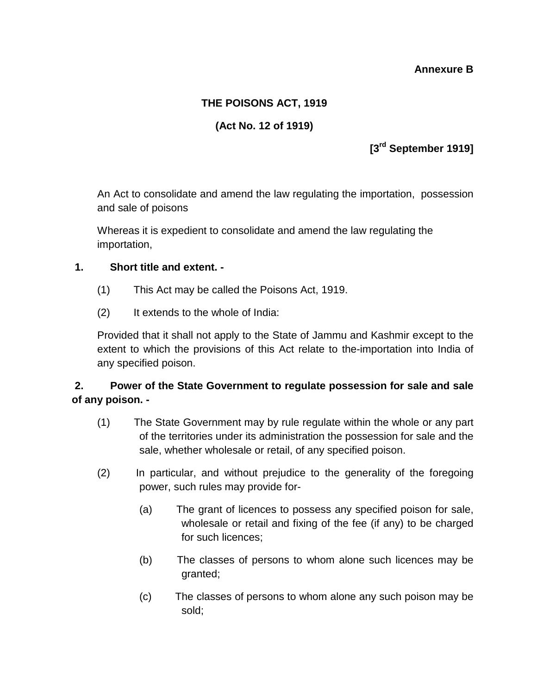#### **Annexure B**

### **THE POISONS ACT, 1919**

## **(Act No. 12 of 1919)**

## **[3rd September 1919]**

An Act to consolidate and amend the law regulating the importation, possession and sale of poisons

Whereas it is expedient to consolidate and amend the law regulating the importation,

#### **1. Short title and extent. -**

- (1) This Act may be called the Poisons Act, 1919.
- (2) It extends to the whole of India:

Provided that it shall not apply to the State of Jammu and Kashmir except to the extent to which the provisions of this Act relate to the-importation into India of any specified poison.

### **2. Power of the State Government to regulate possession for sale and sale of any poison. -**

- (1) The State Government may by rule regulate within the whole or any part of the territories under its administration the possession for sale and the sale, whether wholesale or retail, of any specified poison.
- (2) In particular, and without prejudice to the generality of the foregoing power, such rules may provide for-
	- (a) The grant of licences to possess any specified poison for sale, wholesale or retail and fixing of the fee (if any) to be charged for such licences;
	- (b) The classes of persons to whom alone such licences may be granted;
	- (c) The classes of persons to whom alone any such poison may be sold;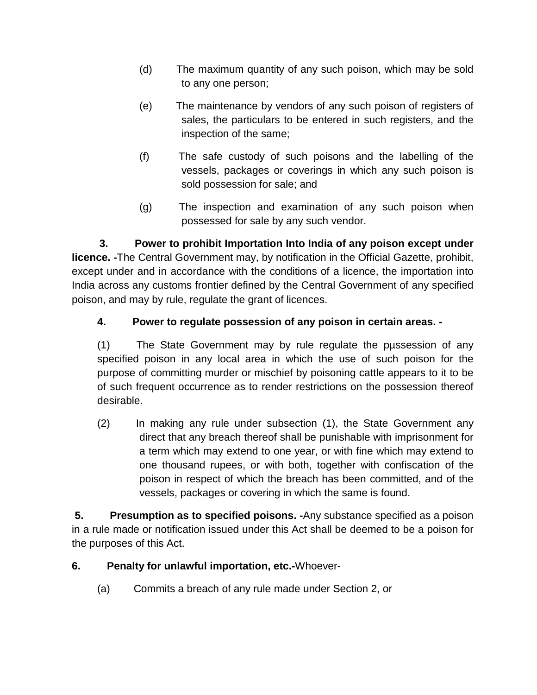- (d) The maximum quantity of any such poison, which may be sold to any one person;
- (e) The maintenance by vendors of any such poison of registers of sales, the particulars to be entered in such registers, and the inspection of the same;
- (f) The safe custody of such poisons and the labelling of the vessels, packages or coverings in which any such poison is sold possession for sale; and
- (g) The inspection and examination of any such poison when possessed for sale by any such vendor.

**3. Power to prohibit Importation Into India of any poison except under licence. -**The Central Government may, by notification in the Official Gazette, prohibit, except under and in accordance with the conditions of a licence, the importation into India across any customs frontier defined by the Central Government of any specified poison, and may by rule, regulate the grant of licences.

## **4. Power to regulate possession of any poison in certain areas. -**

(1) The State Government may by rule regulate the pµssession of any specified poison in any local area in which the use of such poison for the purpose of committing murder or mischief by poisoning cattle appears to it to be of such frequent occurrence as to render restrictions on the possession thereof desirable.

(2) In making any rule under subsection (1), the State Government any direct that any breach thereof shall be punishable with imprisonment for a term which may extend to one year, or with fine which may extend to one thousand rupees, or with both, together with confiscation of the poison in respect of which the breach has been committed, and of the vessels, packages or covering in which the same is found.

**5. Presumption as to specified poisons. -**Any substance specified as a poison in a rule made or notification issued under this Act shall be deemed to be a poison for the purposes of this Act.

- **6. Penalty for unlawful importation, etc.-**Whoever-
	- (a) Commits a breach of any rule made under Section 2, or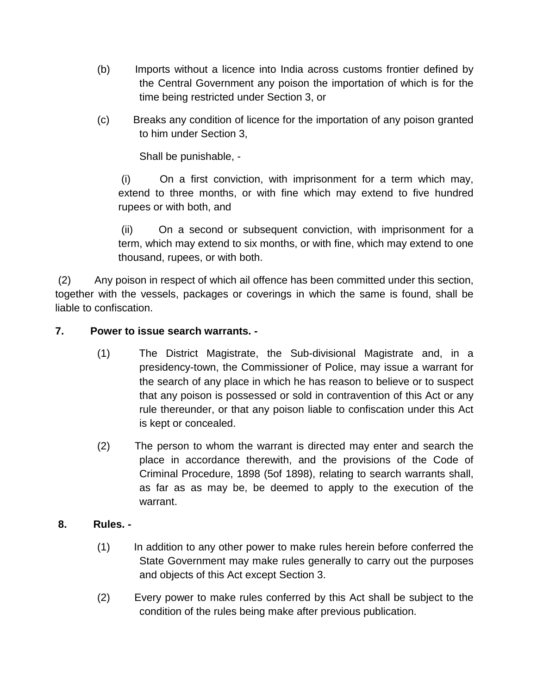- (b) Imports without a licence into India across customs frontier defined by the Central Government any poison the importation of which is for the time being restricted under Section 3, or
- (c) Breaks any condition of licence for the importation of any poison granted to him under Section 3,

Shall be punishable, -

(i) On a first conviction, with imprisonment for a term which may, extend to three months, or with fine which may extend to five hundred rupees or with both, and

(ii) On a second or subsequent conviction, with imprisonment for a term, which may extend to six months, or with fine, which may extend to one thousand, rupees, or with both.

(2) Any poison in respect of which ail offence has been committed under this section, together with the vessels, packages or coverings in which the same is found, shall be liable to confiscation.

#### **7. Power to issue search warrants. -**

- (1) The District Magistrate, the Sub-divisional Magistrate and, in a presidency-town, the Commissioner of Police, may issue a warrant for the search of any place in which he has reason to believe or to suspect that any poison is possessed or sold in contravention of this Act or any rule thereunder, or that any poison liable to confiscation under this Act is kept or concealed.
- (2) The person to whom the warrant is directed may enter and search the place in accordance therewith, and the provisions of the Code of Criminal Procedure, 1898 (5of 1898), relating to search warrants shall, as far as as may be, be deemed to apply to the execution of the warrant.

#### **8. Rules. -**

- (1) In addition to any other power to make rules herein before conferred the State Government may make rules generally to carry out the purposes and objects of this Act except Section 3.
- (2) Every power to make rules conferred by this Act shall be subject to the condition of the rules being make after previous publication.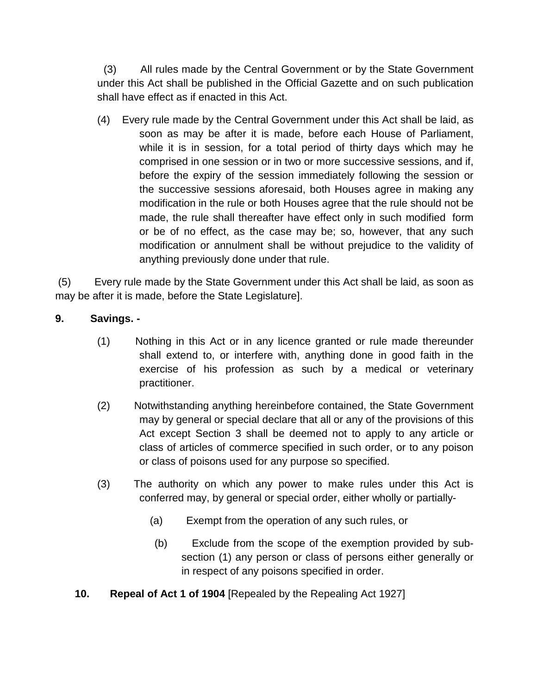(3) All rules made by the Central Government or by the State Government under this Act shall be published in the Official Gazette and on such publication shall have effect as if enacted in this Act.

(4) Every rule made by the Central Government under this Act shall be laid, as soon as may be after it is made, before each House of Parliament, while it is in session, for a total period of thirty days which may he comprised in one session or in two or more successive sessions, and if, before the expiry of the session immediately following the session or the successive sessions aforesaid, both Houses agree in making any modification in the rule or both Houses agree that the rule should not be made, the rule shall thereafter have effect only in such modified form or be of no effect, as the case may be; so, however, that any such modification or annulment shall be without prejudice to the validity of anything previously done under that rule.

(5) Every rule made by the State Government under this Act shall be laid, as soon as may be after it is made, before the State Legislature].

## **9. Savings. -**

- (1) Nothing in this Act or in any licence granted or rule made thereunder shall extend to, or interfere with, anything done in good faith in the exercise of his profession as such by a medical or veterinary practitioner.
- (2) Notwithstanding anything hereinbefore contained, the State Government may by general or special declare that all or any of the provisions of this Act except Section 3 shall be deemed not to apply to any article or class of articles of commerce specified in such order, or to any poison or class of poisons used for any purpose so specified.
- (3) The authority on which any power to make rules under this Act is conferred may, by general or special order, either wholly or partially-
	- (a) Exempt from the operation of any such rules, or
	- (b) Exclude from the scope of the exemption provided by subsection (1) any person or class of persons either generally or in respect of any poisons specified in order.
- **10. Repeal of Act 1 of 1904** [Repealed by the Repealing Act 1927]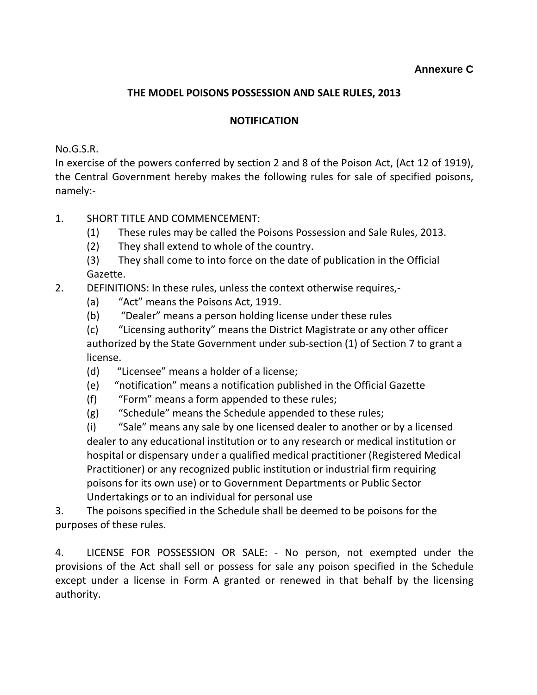#### **THE MODEL POISONS POSSESSION AND SALE RULES, 2013**

#### **NOTIFICATION**

No.G.S.R.

In exercise of the powers conferred by section 2 and 8 of the Poison Act, (Act 12 of 1919), the Central Government hereby makes the following rules for sale of specified poisons, namely:-

### 1. SHORT TITLE AND COMMENCEMENT:

- (1) These rules may be called the Poisons Possession and Sale Rules, 2013.
- (2) They shall extend to whole of the country.
- (3) They shall come to into force on the date of publication in the Official Gazette.

## 2. DEFINITIONS: In these rules, unless the context otherwise requires,-

- (a) "Act" means the Poisons Act, 1919.
- (b) "Dealer" means a person holding license under these rules
- (c) "Licensing authority" means the District Magistrate or any other officer authorized by the State Government under sub-section (1) of Section 7 to grant a license.
- (d) "Licensee" means a holder of a license;
- (e) "notification" means a notification published in the Official Gazette
- (f) "Form" means a form appended to these rules;
- (g) "Schedule" means the Schedule appended to these rules;

(i) "Sale" means any sale by one licensed dealer to another or by a licensed dealer to any educational institution or to any research or medical institution or hospital or dispensary under a qualified medical practitioner (Registered Medical Practitioner) or any recognized public institution or industrial firm requiring poisons for its own use) or to Government Departments or Public Sector Undertakings or to an individual for personal use

3. The poisons specified in the Schedule shall be deemed to be poisons for the purposes of these rules.

4. LICENSE FOR POSSESSION OR SALE: - No person, not exempted under the provisions of the Act shall sell or possess for sale any poison specified in the Schedule except under a license in Form A granted or renewed in that behalf by the licensing authority.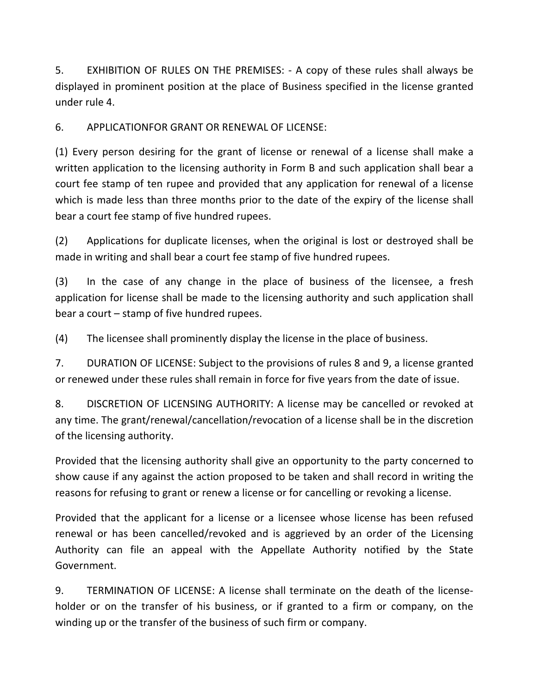5. EXHIBITION OF RULES ON THE PREMISES: - A copy of these rules shall always be displayed in prominent position at the place of Business specified in the license granted under rule 4.

6. APPLICATIONFOR GRANT OR RENEWAL OF LICENSE:

(1) Every person desiring for the grant of license or renewal of a license shall make a written application to the licensing authority in Form B and such application shall bear a court fee stamp of ten rupee and provided that any application for renewal of a license which is made less than three months prior to the date of the expiry of the license shall bear a court fee stamp of five hundred rupees.

(2) Applications for duplicate licenses, when the original is lost or destroyed shall be made in writing and shall bear a court fee stamp of five hundred rupees.

(3) In the case of any change in the place of business of the licensee, a fresh application for license shall be made to the licensing authority and such application shall bear a court – stamp of five hundred rupees.

(4) The licensee shall prominently display the license in the place of business.

7. DURATION OF LICENSE: Subject to the provisions of rules 8 and 9, a license granted or renewed under these rules shall remain in force for five years from the date of issue.

8. DISCRETION OF LICENSING AUTHORITY: A license may be cancelled or revoked at any time. The grant/renewal/cancellation/revocation of a license shall be in the discretion of the licensing authority.

Provided that the licensing authority shall give an opportunity to the party concerned to show cause if any against the action proposed to be taken and shall record in writing the reasons for refusing to grant or renew a license or for cancelling or revoking a license.

Provided that the applicant for a license or a licensee whose license has been refused renewal or has been cancelled/revoked and is aggrieved by an order of the Licensing Authority can file an appeal with the Appellate Authority notified by the State Government.

9. TERMINATION OF LICENSE: A license shall terminate on the death of the licenseholder or on the transfer of his business, or if granted to a firm or company, on the winding up or the transfer of the business of such firm or company.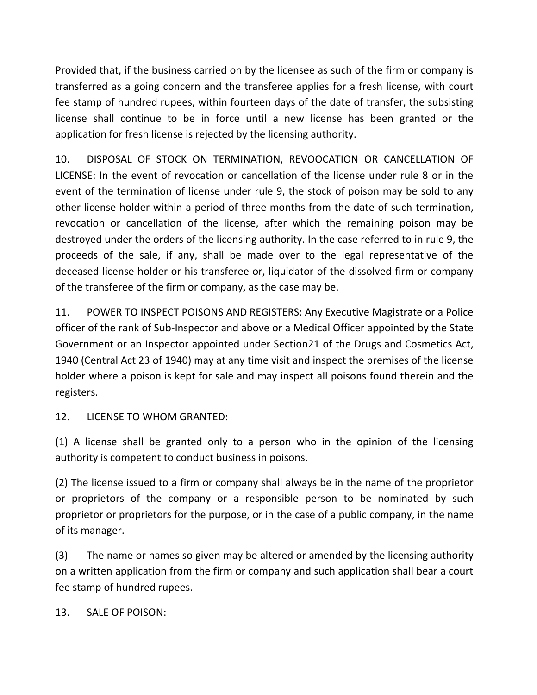Provided that, if the business carried on by the licensee as such of the firm or company is transferred as a going concern and the transferee applies for a fresh license, with court fee stamp of hundred rupees, within fourteen days of the date of transfer, the subsisting license shall continue to be in force until a new license has been granted or the application for fresh license is rejected by the licensing authority.

10. DISPOSAL OF STOCK ON TERMINATION, REVOOCATION OR CANCELLATION OF LICENSE: In the event of revocation or cancellation of the license under rule 8 or in the event of the termination of license under rule 9, the stock of poison may be sold to any other license holder within a period of three months from the date of such termination, revocation or cancellation of the license, after which the remaining poison may be destroyed under the orders of the licensing authority. In the case referred to in rule 9, the proceeds of the sale, if any, shall be made over to the legal representative of the deceased license holder or his transferee or, liquidator of the dissolved firm or company of the transferee of the firm or company, as the case may be.

11. POWER TO INSPECT POISONS AND REGISTERS: Any Executive Magistrate or a Police officer of the rank of Sub-Inspector and above or a Medical Officer appointed by the State Government or an Inspector appointed under Section21 of the Drugs and Cosmetics Act, 1940 (Central Act 23 of 1940) may at any time visit and inspect the premises of the license holder where a poison is kept for sale and may inspect all poisons found therein and the registers.

12. LICENSE TO WHOM GRANTED:

(1) A license shall be granted only to a person who in the opinion of the licensing authority is competent to conduct business in poisons.

(2) The license issued to a firm or company shall always be in the name of the proprietor or proprietors of the company or a responsible person to be nominated by such proprietor or proprietors for the purpose, or in the case of a public company, in the name of its manager.

(3) The name or names so given may be altered or amended by the licensing authority on a written application from the firm or company and such application shall bear a court fee stamp of hundred rupees.

13. SALE OF POISON: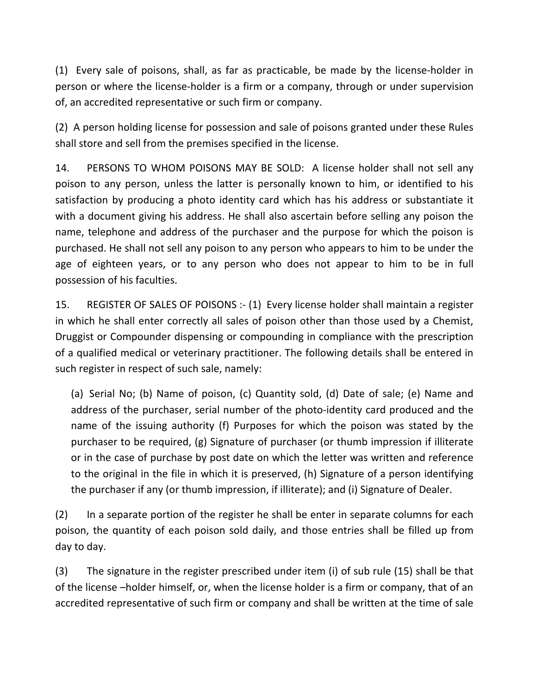(1) Every sale of poisons, shall, as far as practicable, be made by the license-holder in person or where the license-holder is a firm or a company, through or under supervision of, an accredited representative or such firm or company.

(2) A person holding license for possession and sale of poisons granted under these Rules shall store and sell from the premises specified in the license.

14. PERSONS TO WHOM POISONS MAY BE SOLD: A license holder shall not sell any poison to any person, unless the latter is personally known to him, or identified to his satisfaction by producing a photo identity card which has his address or substantiate it with a document giving his address. He shall also ascertain before selling any poison the name, telephone and address of the purchaser and the purpose for which the poison is purchased. He shall not sell any poison to any person who appears to him to be under the age of eighteen years, or to any person who does not appear to him to be in full possession of his faculties.

15. REGISTER OF SALES OF POISONS :- (1) Every license holder shall maintain a register in which he shall enter correctly all sales of poison other than those used by a Chemist, Druggist or Compounder dispensing or compounding in compliance with the prescription of a qualified medical or veterinary practitioner. The following details shall be entered in such register in respect of such sale, namely:

(a) Serial No; (b) Name of poison, (c) Quantity sold, (d) Date of sale; (e) Name and address of the purchaser, serial number of the photo-identity card produced and the name of the issuing authority (f) Purposes for which the poison was stated by the purchaser to be required, (g) Signature of purchaser (or thumb impression if illiterate or in the case of purchase by post date on which the letter was written and reference to the original in the file in which it is preserved, (h) Signature of a person identifying the purchaser if any (or thumb impression, if illiterate); and (i) Signature of Dealer.

(2) In a separate portion of the register he shall be enter in separate columns for each poison, the quantity of each poison sold daily, and those entries shall be filled up from day to day.

(3) The signature in the register prescribed under item (i) of sub rule (15) shall be that of the license –holder himself, or, when the license holder is a firm or company, that of an accredited representative of such firm or company and shall be written at the time of sale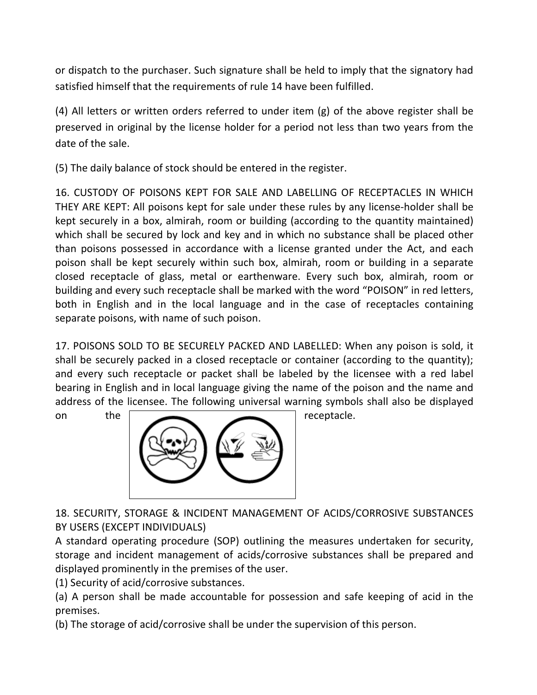or dispatch to the purchaser. Such signature shall be held to imply that the signatory had satisfied himself that the requirements of rule 14 have been fulfilled.

(4) All letters or written orders referred to under item (g) of the above register shall be preserved in original by the license holder for a period not less than two years from the date of the sale.

(5) The daily balance of stock should be entered in the register.

16. CUSTODY OF POISONS KEPT FOR SALE AND LABELLING OF RECEPTACLES IN WHICH THEY ARE KEPT: All poisons kept for sale under these rules by any license-holder shall be kept securely in a box, almirah, room or building (according to the quantity maintained) which shall be secured by lock and key and in which no substance shall be placed other than poisons possessed in accordance with a license granted under the Act, and each poison shall be kept securely within such box, almirah, room or building in a separate closed receptacle of glass, metal or earthenware. Every such box, almirah, room or building and every such receptacle shall be marked with the word "POISON" in red letters, both in English and in the local language and in the case of receptacles containing separate poisons, with name of such poison.

17. POISONS SOLD TO BE SECURELY PACKED AND LABELLED: When any poison is sold, it shall be securely packed in a closed receptacle or container (according to the quantity); and every such receptacle or packet shall be labeled by the licensee with a red label bearing in English and in local language giving the name of the poison and the name and address of the licensee. The following universal warning symbols shall also be displayed



18. SECURITY, STORAGE & INCIDENT MANAGEMENT OF ACIDS/CORROSIVE SUBSTANCES BY USERS (EXCEPT INDIVIDUALS)

A standard operating procedure (SOP) outlining the measures undertaken for security, storage and incident management of acids/corrosive substances shall be prepared and displayed prominently in the premises of the user.

(1) Security of acid/corrosive substances.

(a) A person shall be made accountable for possession and safe keeping of acid in the premises.

(b) The storage of acid/corrosive shall be under the supervision of this person.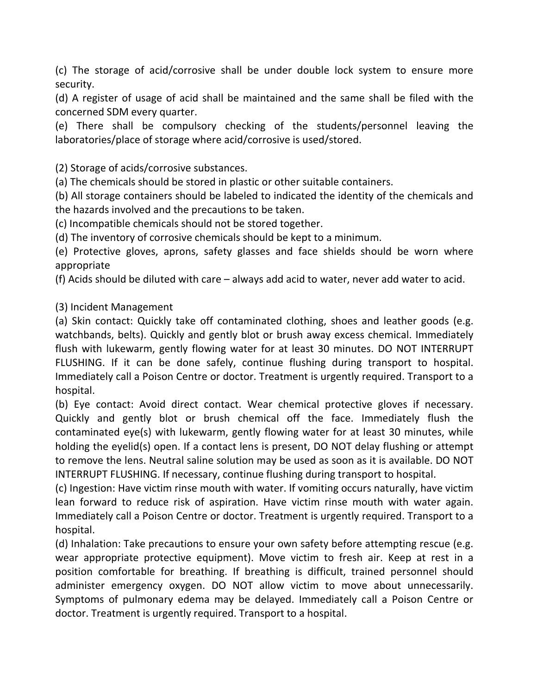(c) The storage of acid/corrosive shall be under double lock system to ensure more security.

(d) A register of usage of acid shall be maintained and the same shall be filed with the concerned SDM every quarter.

(e) There shall be compulsory checking of the students/personnel leaving the laboratories/place of storage where acid/corrosive is used/stored.

(2) Storage of acids/corrosive substances.

(a) The chemicals should be stored in plastic or other suitable containers.

(b) All storage containers should be labeled to indicated the identity of the chemicals and the hazards involved and the precautions to be taken.

(c) Incompatible chemicals should not be stored together.

(d) The inventory of corrosive chemicals should be kept to a minimum.

(e) Protective gloves, aprons, safety glasses and face shields should be worn where appropriate

(f) Acids should be diluted with care – always add acid to water, never add water to acid.

(3) Incident Management

(a) Skin contact: Quickly take off contaminated clothing, shoes and leather goods (e.g. watchbands, belts). Quickly and gently blot or brush away excess chemical. Immediately flush with lukewarm, gently flowing water for at least 30 minutes. DO NOT INTERRUPT FLUSHING. If it can be done safely, continue flushing during transport to hospital. Immediately call a Poison Centre or doctor. Treatment is urgently required. Transport to a hospital.

(b) Eye contact: Avoid direct contact. Wear chemical protective gloves if necessary. Quickly and gently blot or brush chemical off the face. Immediately flush the contaminated eye(s) with lukewarm, gently flowing water for at least 30 minutes, while holding the eyelid(s) open. If a contact lens is present, DO NOT delay flushing or attempt to remove the lens. Neutral saline solution may be used as soon as it is available. DO NOT INTERRUPT FLUSHING. If necessary, continue flushing during transport to hospital.

(c) Ingestion: Have victim rinse mouth with water. If vomiting occurs naturally, have victim lean forward to reduce risk of aspiration. Have victim rinse mouth with water again. Immediately call a Poison Centre or doctor. Treatment is urgently required. Transport to a hospital.

(d) Inhalation: Take precautions to ensure your own safety before attempting rescue (e.g. wear appropriate protective equipment). Move victim to fresh air. Keep at rest in a position comfortable for breathing. If breathing is difficult, trained personnel should administer emergency oxygen. DO NOT allow victim to move about unnecessarily. Symptoms of pulmonary edema may be delayed. Immediately call a Poison Centre or doctor. Treatment is urgently required. Transport to a hospital.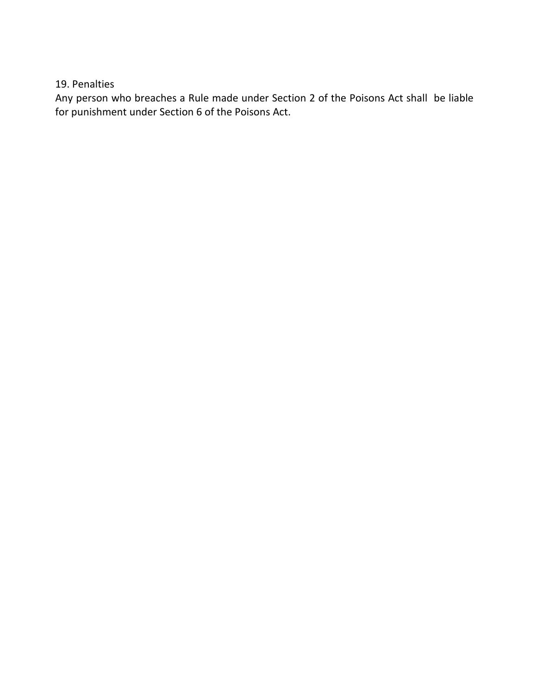19. Penalties

Any person who breaches a Rule made under Section 2 of the Poisons Act shall be liable for punishment under Section 6 of the Poisons Act.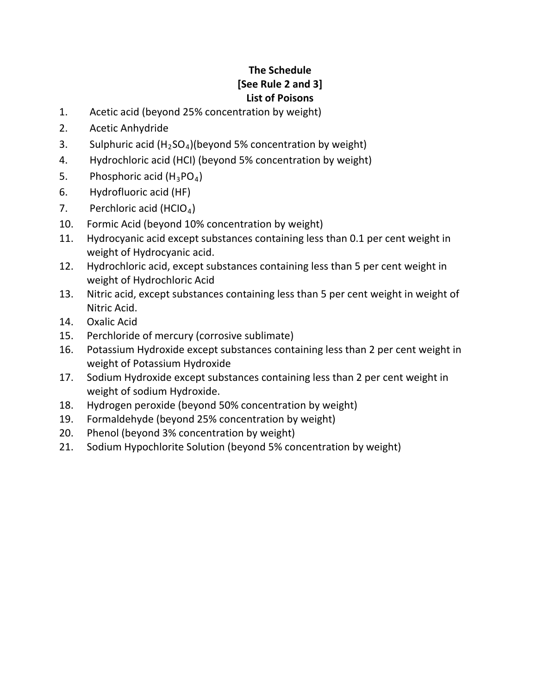# **The Schedule [See Rule 2 and 3] List of Poisons**

- 1. Acetic acid (beyond 25% concentration by weight)
- 2. Acetic Anhydride
- 3. Sulphuric acid  $(H_2SO_4)$ (beyond 5% concentration by weight)
- 4. Hydrochloric acid (HCI) (beyond 5% concentration by weight)
- 5. Phosphoric acid  $(H_3PO_4)$
- 6. Hydrofluoric acid (HF)
- 7. Perchloric acid (HCIO<sub>4</sub>)
- 10. Formic Acid (beyond 10% concentration by weight)
- 11. Hydrocyanic acid except substances containing less than 0.1 per cent weight in weight of Hydrocyanic acid.
- 12. Hydrochloric acid, except substances containing less than 5 per cent weight in weight of Hydrochloric Acid
- 13. Nitric acid, except substances containing less than 5 per cent weight in weight of Nitric Acid.
- 14. Oxalic Acid
- 15. Perchloride of mercury (corrosive sublimate)
- 16. Potassium Hydroxide except substances containing less than 2 per cent weight in weight of Potassium Hydroxide
- 17. Sodium Hydroxide except substances containing less than 2 per cent weight in weight of sodium Hydroxide.
- 18. Hydrogen peroxide (beyond 50% concentration by weight)
- 19. Formaldehyde (beyond 25% concentration by weight)
- 20. Phenol (beyond 3% concentration by weight)
- 21. Sodium Hypochlorite Solution (beyond 5% concentration by weight)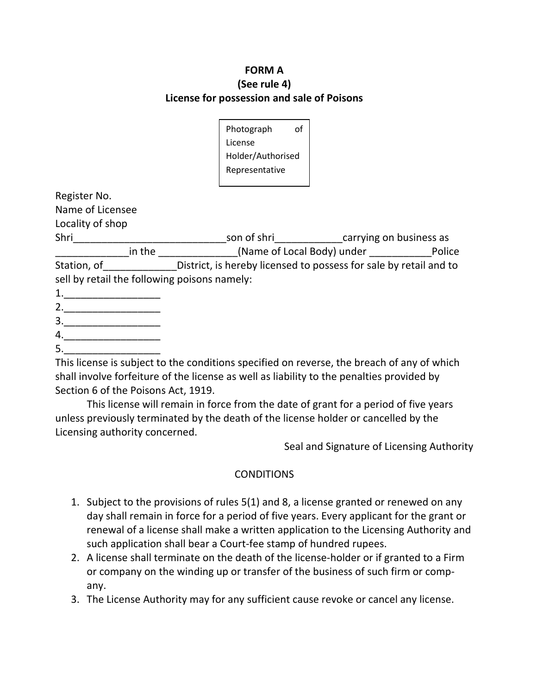### **FORM A (See rule 4) License for possession and sale of Poisons**

| Photograph        | οf |
|-------------------|----|
| License           |    |
|                   |    |
| Holder/Authorised |    |
| Representative    |    |
|                   |    |

Register No.

Name of Licensee

Locality of shop

Shri\_\_\_\_\_\_\_\_\_\_\_\_\_\_\_\_\_\_\_\_\_\_\_\_\_\_\_son of shri\_\_\_\_\_\_\_\_\_\_\_\_carrying on business as \_\_\_\_\_\_\_\_\_\_\_\_\_in the \_\_\_\_\_\_\_\_\_\_\_\_\_\_(Name of Local Body) under \_\_\_\_\_\_\_\_\_\_\_Police Station, of The District, is hereby licensed to possess for sale by retail and to sell by retail the following poisons namely:

- 1.\_\_\_\_\_\_\_\_\_\_\_\_\_\_\_\_\_
- 2.\_\_\_\_\_\_\_\_\_\_\_\_\_\_\_\_\_
- 3.\_\_\_\_\_\_\_\_\_\_\_\_\_\_\_\_\_ 4.\_\_\_\_\_\_\_\_\_\_\_\_\_\_\_\_\_

 $5.$ 

This license is subject to the conditions specified on reverse, the breach of any of which shall involve forfeiture of the license as well as liability to the penalties provided by Section 6 of the Poisons Act, 1919.

This license will remain in force from the date of grant for a period of five years unless previously terminated by the death of the license holder or cancelled by the Licensing authority concerned.

Seal and Signature of Licensing Authority

## **CONDITIONS**

- 1. Subject to the provisions of rules 5(1) and 8, a license granted or renewed on any day shall remain in force for a period of five years. Every applicant for the grant or renewal of a license shall make a written application to the Licensing Authority and such application shall bear a Court-fee stamp of hundred rupees.
- 2. A license shall terminate on the death of the license-holder or if granted to a Firm or company on the winding up or transfer of the business of such firm or company.
- 3. The License Authority may for any sufficient cause revoke or cancel any license.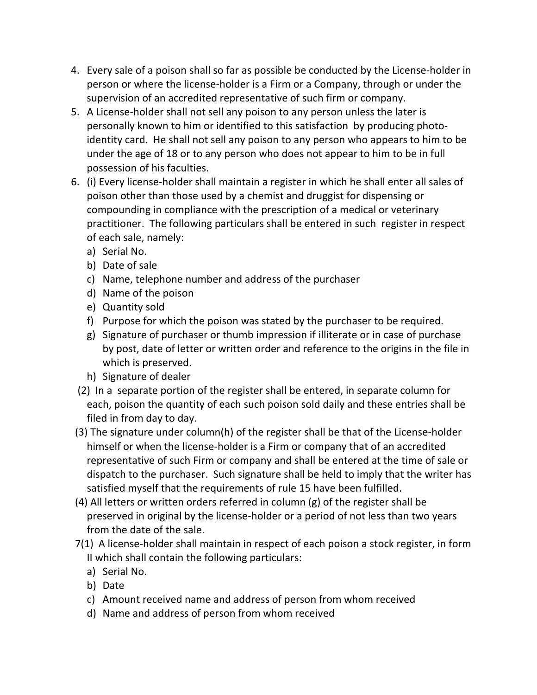- 4. Every sale of a poison shall so far as possible be conducted by the License-holder in person or where the license-holder is a Firm or a Company, through or under the supervision of an accredited representative of such firm or company.
- 5. A License-holder shall not sell any poison to any person unless the later is personally known to him or identified to this satisfaction by producing photoidentity card. He shall not sell any poison to any person who appears to him to be under the age of 18 or to any person who does not appear to him to be in full possession of his faculties.
- 6. (i) Every license-holder shall maintain a register in which he shall enter all sales of poison other than those used by a chemist and druggist for dispensing or compounding in compliance with the prescription of a medical or veterinary practitioner. The following particulars shall be entered in such register in respect of each sale, namely:
	- a) Serial No.
	- b) Date of sale
	- c) Name, telephone number and address of the purchaser
	- d) Name of the poison
	- e) Quantity sold
	- f) Purpose for which the poison was stated by the purchaser to be required.
	- g) Signature of purchaser or thumb impression if illiterate or in case of purchase by post, date of letter or written order and reference to the origins in the file in which is preserved.
	- h) Signature of dealer
	- (2) In a separate portion of the register shall be entered, in separate column for each, poison the quantity of each such poison sold daily and these entries shall be filed in from day to day.
- (3) The signature under column(h) of the register shall be that of the License-holder himself or when the license-holder is a Firm or company that of an accredited representative of such Firm or company and shall be entered at the time of sale or dispatch to the purchaser. Such signature shall be held to imply that the writer has satisfied myself that the requirements of rule 15 have been fulfilled.
- (4) All letters or written orders referred in column (g) of the register shall be preserved in original by the license-holder or a period of not less than two years from the date of the sale.
- 7(1) A license-holder shall maintain in respect of each poison a stock register, in form II which shall contain the following particulars:
	- a) Serial No.
	- b) Date
	- c) Amount received name and address of person from whom received
	- d) Name and address of person from whom received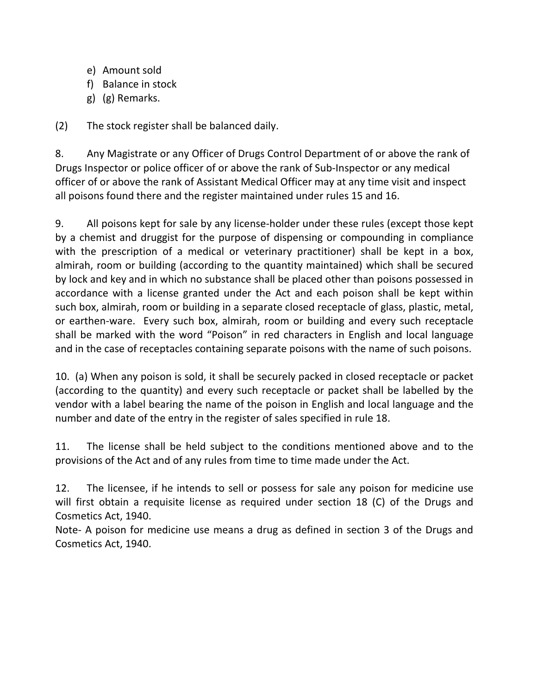- e) Amount sold
- f) Balance in stock
- g) (g) Remarks.

(2) The stock register shall be balanced daily.

8. Any Magistrate or any Officer of Drugs Control Department of or above the rank of Drugs Inspector or police officer of or above the rank of Sub-Inspector or any medical officer of or above the rank of Assistant Medical Officer may at any time visit and inspect all poisons found there and the register maintained under rules 15 and 16.

9. All poisons kept for sale by any license-holder under these rules (except those kept by a chemist and druggist for the purpose of dispensing or compounding in compliance with the prescription of a medical or veterinary practitioner) shall be kept in a box, almirah, room or building (according to the quantity maintained) which shall be secured by lock and key and in which no substance shall be placed other than poisons possessed in accordance with a license granted under the Act and each poison shall be kept within such box, almirah, room or building in a separate closed receptacle of glass, plastic, metal, or earthen-ware. Every such box, almirah, room or building and every such receptacle shall be marked with the word "Poison" in red characters in English and local language and in the case of receptacles containing separate poisons with the name of such poisons.

10. (a) When any poison is sold, it shall be securely packed in closed receptacle or packet (according to the quantity) and every such receptacle or packet shall be labelled by the vendor with a label bearing the name of the poison in English and local language and the number and date of the entry in the register of sales specified in rule 18.

11. The license shall be held subject to the conditions mentioned above and to the provisions of the Act and of any rules from time to time made under the Act.

12. The licensee, if he intends to sell or possess for sale any poison for medicine use will first obtain a requisite license as required under section 18 (C) of the Drugs and Cosmetics Act, 1940.

Note- A poison for medicine use means a drug as defined in section 3 of the Drugs and Cosmetics Act, 1940.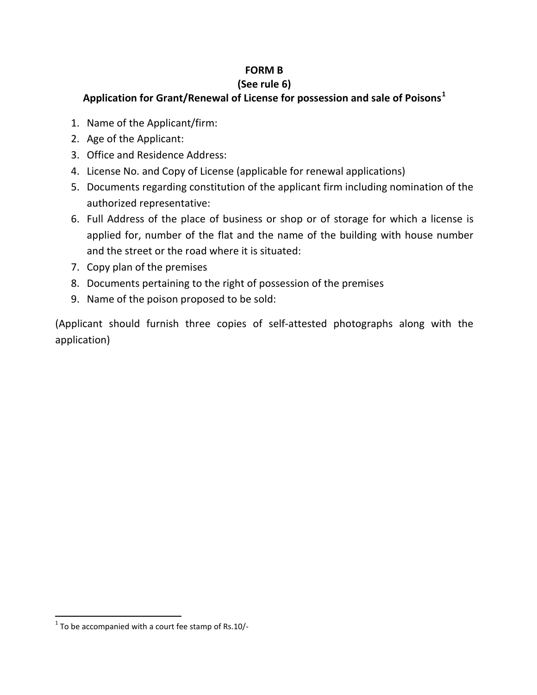## **FORM B**

## **(See rule 6)**

## **Application for Grant/Renewal of License for possession and sale of Poisons[1](#page-20-0)**

- 1. Name of the Applicant/firm:
- 2. Age of the Applicant:
- 3. Office and Residence Address:
- 4. License No. and Copy of License (applicable for renewal applications)
- 5. Documents regarding constitution of the applicant firm including nomination of the authorized representative:
- 6. Full Address of the place of business or shop or of storage for which a license is applied for, number of the flat and the name of the building with house number and the street or the road where it is situated:
- 7. Copy plan of the premises
- 8. Documents pertaining to the right of possession of the premises
- 9. Name of the poison proposed to be sold:

(Applicant should furnish three copies of self-attested photographs along with the application)

<span id="page-20-0"></span> $1$ <sup>1</sup> To be accompanied with a court fee stamp of Rs.10/-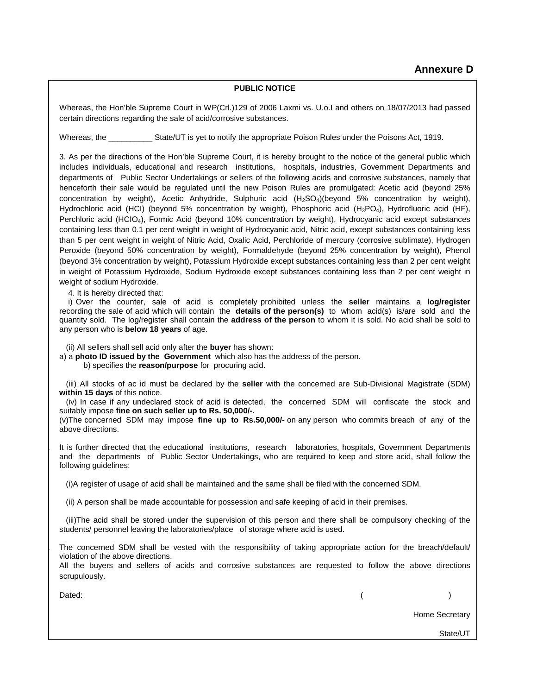#### **PUBLIC NOTICE**

**Annexure D** Whereas, the Hon'ble Supreme Court in WP(Crl.)129 of 2006 Laxmi vs. U.o.I and others on 18/07/2013 had passed certain directions regarding the sale of acid/corrosive substances.

Whereas, the **Example 25 State/UT** is yet to notify the appropriate Poison Rules under the Poisons Act, 1919.

3. As per the directions of the Hon'ble Supreme Court, it is hereby brought to the notice of the general public which includes individuals, educational and research institutions, hospitals, industries, Government Departments and departments of Public Sector Undertakings or sellers of the following acids and corrosive substances, namely that henceforth their sale would be regulated until the new Poison Rules are promulgated: Acetic acid (beyond 25% concentration by weight), Acetic Anhydride, Sulphuric acid (H<sub>2</sub>SO<sub>4</sub>)(beyond 5% concentration by weight), Hydrochloric acid (HCI) (beyond 5% concentration by weight), Phosphoric acid (H<sub>3</sub>PO<sub>4</sub>), Hydrofluoric acid (HF), Perchloric acid (HCIO4), Formic Acid (beyond 10% concentration by weight), Hydrocyanic acid except substances containing less than 0.1 per cent weight in weight of Hydrocyanic acid, Nitric acid, except substances containing less than 5 per cent weight in weight of Nitric Acid, Oxalic Acid, Perchloride of mercury (corrosive sublimate), Hydrogen Peroxide (beyond 50% concentration by weight), Formaldehyde (beyond 25% concentration by weight), Phenol (beyond 3% concentration by weight), Potassium Hydroxide except substances containing less than 2 per cent weight in weight of Potassium Hydroxide, Sodium Hydroxide except substances containing less than 2 per cent weight in weight of sodium Hydroxide.

4. It is hereby directed that:

 i) Over the counter, sale of acid is completely prohibited unless the **seller** maintains a **log/register** recording the sale of acid which will contain the **details of the person(s)** to whom acid(s) is/are sold and the quantity sold. The log/register shall contain the **address of the person** to whom it is sold. No acid shall be sold to any person who is **below 18 years** of age.

(ii) All sellers shall sell acid only after the **buyer** has shown:

a) a **photo ID issued by the Government** which also has the address of the person.

b) specifies the **reason/purpose** for procuring acid.

 (iii) All stocks of ac id must be declared by the **seller** with the concerned are Sub-Divisional Magistrate (SDM) **within 15 days** of this notice.

 (iv) In case if any undeclared stock of acid is detected, the concerned SDM will confiscate the stock and suitably impose **fine on such seller up to Rs. 50,000/-.**

(v)The concerned SDM may impose **fine up to Rs.50,000/-** on any person who commits breach of any of the above directions.

. It is further directed that the educational institutions, research laboratories, hospitals, Government Departments and the departments of Public Sector Undertakings, who are required to keep and store acid, shall follow the following guidelines:

(i)A register of usage of acid shall be maintained and the same shall be filed with the concerned SDM.

(ii) A person shall be made accountable for possession and safe keeping of acid in their premises.

 (iii)The acid shall be stored under the supervision of this person and there shall be compulsory checking of the students/ personnel leaving the laboratories/place of storage where acid is used.

The concerned SDM shall be vested with the responsibility of taking appropriate action for the breach/default/ violation of the above directions.

All the buyers and sellers of acids and corrosive substances are requested to follow the above directions scrupulously.

Dated: ( )

Home Secretary

State/UT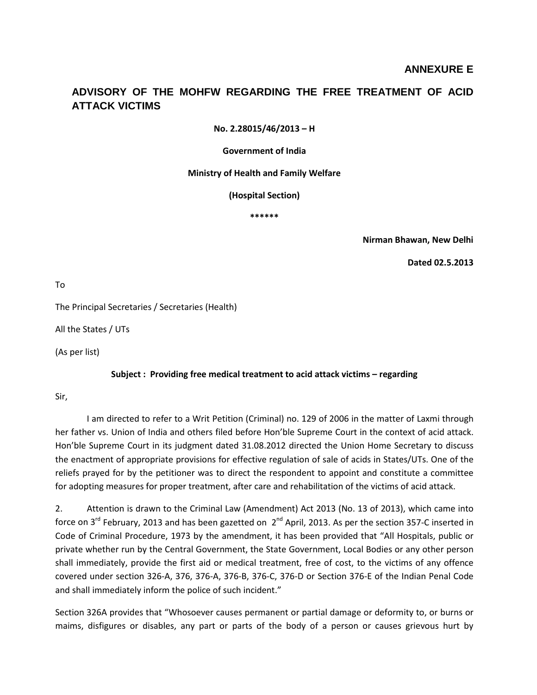#### **ADVISORY OF THE MOHFW REGARDING THE FREE TREATMENT OF ACID ATTACK VICTIMS**

**No. 2.28015/46/2013 – H**

**Government of India**

**Ministry of Health and Family Welfare**

**(Hospital Section)**

**\*\*\*\*\*\***

**Nirman Bhawan, New Delhi**

**Dated 02.5.2013**

To

The Principal Secretaries / Secretaries (Health)

All the States / UTs

(As per list)

#### **Subject : Providing free medical treatment to acid attack victims – regarding**

Sir,

I am directed to refer to a Writ Petition (Criminal) no. 129 of 2006 in the matter of Laxmi through her father vs. Union of India and others filed before Hon'ble Supreme Court in the context of acid attack. Hon'ble Supreme Court in its judgment dated 31.08.2012 directed the Union Home Secretary to discuss the enactment of appropriate provisions for effective regulation of sale of acids in States/UTs. One of the reliefs prayed for by the petitioner was to direct the respondent to appoint and constitute a committee for adopting measures for proper treatment, after care and rehabilitation of the victims of acid attack.

2. Attention is drawn to the Criminal Law (Amendment) Act 2013 (No. 13 of 2013), which came into force on 3<sup>rd</sup> February, 2013 and has been gazetted on  $2^{nd}$  April, 2013. As per the section 357-C inserted in Code of Criminal Procedure, 1973 by the amendment, it has been provided that "All Hospitals, public or private whether run by the Central Government, the State Government, Local Bodies or any other person shall immediately, provide the first aid or medical treatment, free of cost, to the victims of any offence covered under section 326-A, 376, 376-A, 376-B, 376-C, 376-D or Section 376-E of the Indian Penal Code and shall immediately inform the police of such incident."

Section 326A provides that "Whosoever causes permanent or partial damage or deformity to, or burns or maims, disfigures or disables, any part or parts of the body of a person or causes grievous hurt by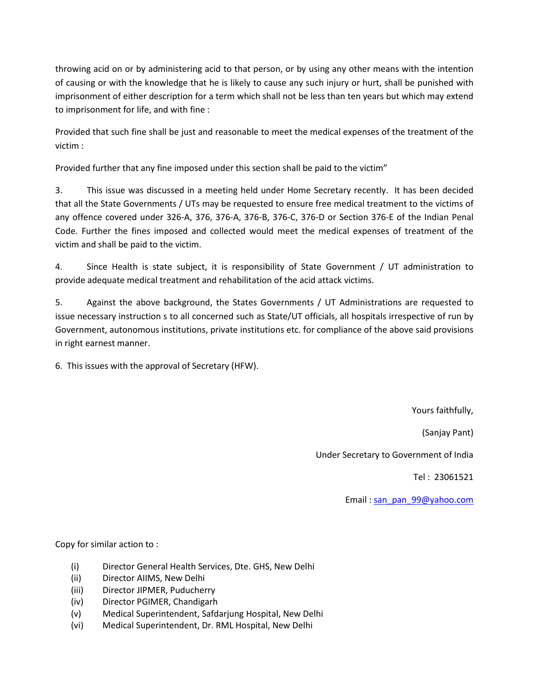throwing acid on or by administering acid to that person, or by using any other means with the intention of causing or with the knowledge that he is likely to cause any such injury or hurt, shall be punished with imprisonment of either description for a term which shall not be less than ten years but which may extend to imprisonment for life, and with fine :

Provided that such fine shall be just and reasonable to meet the medical expenses of the treatment of the victim :

Provided further that any fine imposed under this section shall be paid to the victim"

3. This issue was discussed in a meeting held under Home Secretary recently. It has been decided that all the State Governments / UTs may be requested to ensure free medical treatment to the victims of any offence covered under 326-A, 376, 376-A, 376-B, 376-C, 376-D or Section 376-E of the Indian Penal Code. Further the fines imposed and collected would meet the medical expenses of treatment of the victim and shall be paid to the victim.

4. Since Health is state subject, it is responsibility of State Government / UT administration to provide adequate medical treatment and rehabilitation of the acid attack victims.

5. Against the above background, the States Governments / UT Administrations are requested to issue necessary instruction s to all concerned such as State/UT officials, all hospitals irrespective of run by Government, autonomous institutions, private institutions etc. for compliance of the above said provisions in right earnest manner.

6. This issues with the approval of Secretary (HFW).

Yours faithfully,

(Sanjay Pant)

Under Secretary to Government of India

Tel : 23061521

Email : [san\\_pan\\_99@yahoo.com](mailto:san_pan_99@yahoo.com)

Copy for similar action to :

- (i) Director General Health Services, Dte. GHS, New Delhi
- (ii) Director AIIMS, New Delhi
- (iii) Director JIPMER, Puducherry
- (iv) Director PGIMER, Chandigarh
- (v) Medical Superintendent, Safdarjung Hospital, New Delhi
- (vi) Medical Superintendent, Dr. RML Hospital, New Delhi